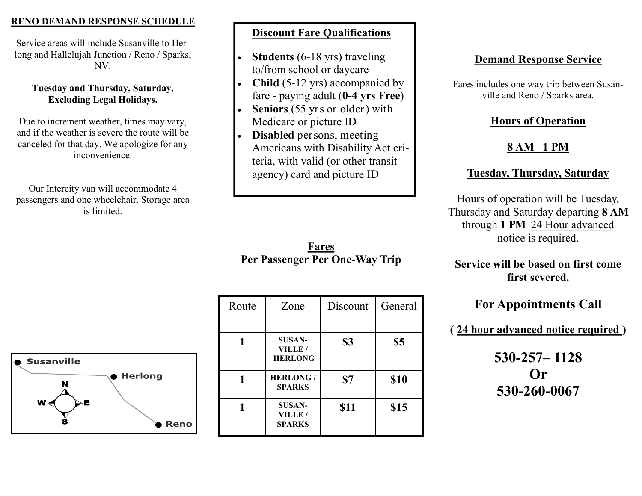#### **RENO DEMAND RESPONSE SCHEDULE**

Service areas will include Susanville to Herlong and Hallelujah Junction / Reno / Sparks, NV.

#### **Tuesday and Thursday, Saturday, Excluding Legal Holidays.**

Due to increment weather, times may vary, and if the weather is severe the route will be canceled for that day. We apologize for any inconvenience.

Our Intercity van will accommodate 4 passengers and one wheelchair. Storage area is limited.

#### **Discount Fare Qualifications**

- **Students** (6-18 yrs) traveling to/from school or daycare
- **Child** (5-12 yrs) accompanied by fare - paying adult (**0-4 yrs Free**)
- **Seniors** (55 yrs or older) with Medicare or picture ID
- **Disabled** persons, meeting Americans with Disability Act criteria, with valid (or other transit agency) card and picture ID

**Fares Per Passenger Per One-Way Trip** 

| Route | Zone                                      | Discount    | General |
|-------|-------------------------------------------|-------------|---------|
|       | <b>SUSAN-</b><br>VILLE/<br><b>HERLONG</b> | \$3         | \$5     |
|       | <b>HERLONG/</b><br><b>SPARKS</b>          | \$7         | \$10    |
|       | <b>SUSAN-</b><br>VILLE/<br><b>SPARKS</b>  | <b>\$11</b> | \$15    |

### **Demand Response Service**

Fares includes one way trip between Susanville and Reno / Sparks area.

#### **Hours of Operation**

# **8 AM –1 PM**

## **Tuesday, Thursday, Saturday**

Hours of operation will be Tuesday, Thursday and Saturday departing **8 AM**  through **1 PM** 24 Hour advanced notice is required.

#### **Service will be based on first come first severed.**

# **For Appointments Call**

**( 24 hour advanced notice required )**

**530-257– 1128 Or 530-260-0067**